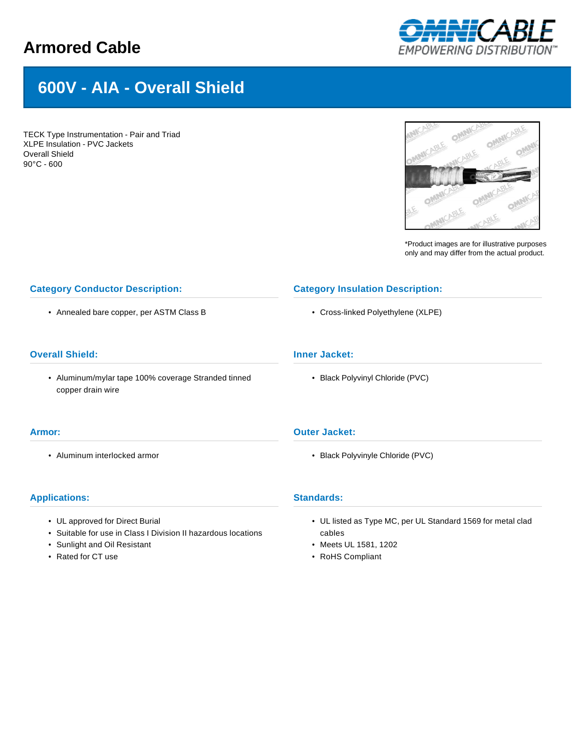# **Armored Cable**



# **600V - AIA - Overall Shield**

TECK Type Instrumentation - Pair and Triad XLPE Insulation - PVC Jackets Overall Shield 90°C - 600



\*Product images are for illustrative purposes only and may differ from the actual product.

# **Category Conductor Description:**

• Annealed bare copper, per ASTM Class B

# **Overall Shield:**

• Aluminum/mylar tape 100% coverage Stranded tinned copper drain wire

#### **Armor:**

• Aluminum interlocked armor

#### **Applications:**

- UL approved for Direct Burial
- Suitable for use in Class I Division II hazardous locations
- Sunlight and Oil Resistant
- Rated for CT use

# **Category Insulation Description:**

• Cross-linked Polyethylene (XLPE)

# **Inner Jacket:**

• Black Polyvinyl Chloride (PVC)

#### **Outer Jacket:**

• Black Polyvinyle Chloride (PVC)

#### **Standards:**

- UL listed as Type MC, per UL Standard 1569 for metal clad cables
- Meets UL 1581, 1202
- RoHS Compliant